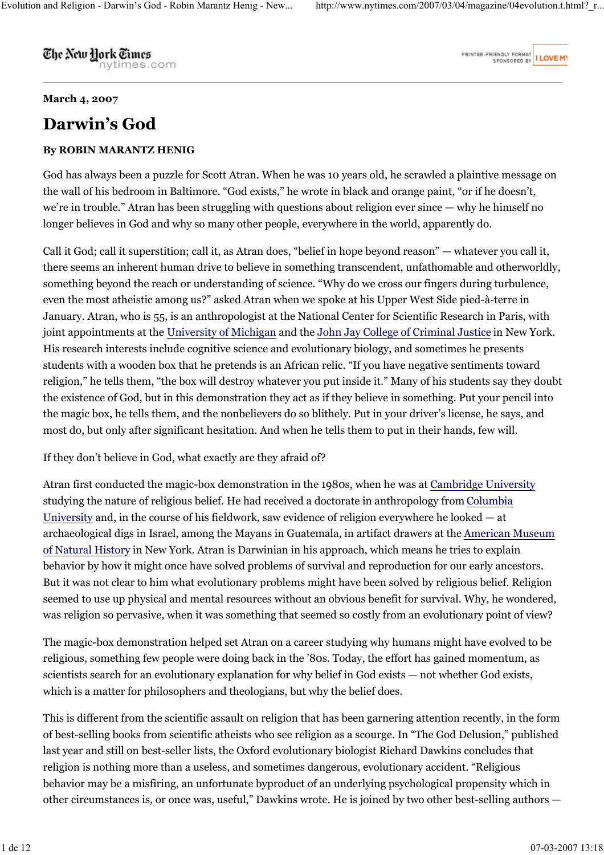The New York Times nytimes.com



March 4, 2007

## Darwin's God

## By ROBIN MARANTZ HENIG

God has always been a puzzle for Scott Atran. When he was 10 years old, he scrawled a plaintive message on the wall of his bedroom in Baltimore. "God exists," he wrote in black and orange paint, "or if he doesn't, we're in trouble." Atran has been struggling with questions about religion ever since — why he himself no longer believes in God and why so many other people, everywhere in the world, apparently do.

Call it God; call it superstition; call it, as Atran does, "belief in hope beyond reason" — whatever you call it, there seems an inherent human drive to believe in something transcendent, unfathomable and otherworldly, something beyond the reach or understanding of science. "Why do we cross our fingers during turbulence, even the most atheistic among us?" asked Atran when we spoke at his Upper West Side pied-à-terre in January. Atran, who is 55, is an anthropologist at the National Center for Scientific Research in Paris, with joint appointments at the University of Michigan and the John Jay College of Criminal Justice in New York. His research interests include cognitive science and evolutionary biology, and sometimes he presents students with a wooden box that he pretends is an African relic. "If you have negative sentiments toward religion," he tells them, "the box will destroy whatever you put inside it." Many of his students say they doubt the existence of God, but in this demonstration they act as if they believe in something. Put your pencil into the magic box, he tells them, and the nonbelievers do so blithely. Put in your driver's license, he says, and most do, but only after significant hesitation. And when he tells them to put in their hands, few will.

If they don't believe in God, what exactly are they afraid of?

Atran first conducted the magic-box demonstration in the 1980s, when he was at Cambridge University studying the nature of religious belief. He had received a doctorate in anthropology from Columbia University and, in the course of his fieldwork, saw evidence of religion everywhere he looked — at archaeological digs in Israel, among the Mayans in Guatemala, in artifact drawers at the American Museum of Natural History in New York. Atran is Darwinian in his approach, which means he tries to explain behavior by how it might once have solved problems of survival and reproduction for our early ancestors. But it was not clear to him what evolutionary problems might have been solved by religious belief. Religion seemed to use up physical and mental resources without an obvious benefit for survival. Why, he wondered, was religion so pervasive, when it was something that seemed so costly from an evolutionary point of view?

The magic-box demonstration helped set Atran on a career studying why humans might have evolved to be religious, something few people were doing back in the '80s. Today, the effort has gained momentum, as scientists search for an evolutionary explanation for why belief in God exists — not whether God exists, which is a matter for philosophers and theologians, but why the belief does.

This is different from the scientific assault on religion that has been garnering attention recently, in the form of best-selling books from scientific atheists who see religion as a scourge. In "The God Delusion," published last year and still on best-seller lists, the Oxford evolutionary biologist Richard Dawkins concludes that religion is nothing more than a useless, and sometimes dangerous, evolutionary accident. "Religious behavior may be a misfiring, an unfortunate byproduct of an underlying psychological propensity which in other circumstances is, or once was, useful," Dawkins wrote. He is joined by two other best-selling authors —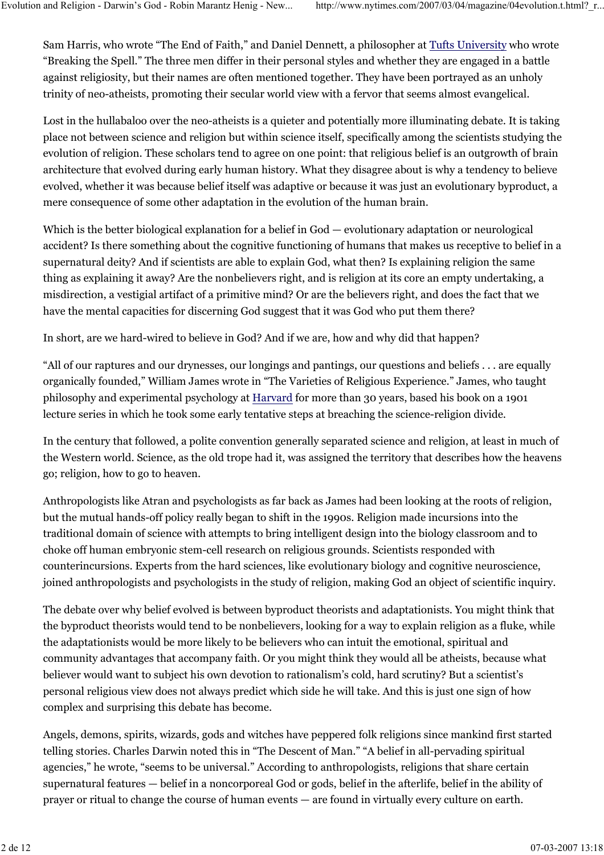Sam Harris, who wrote "The End of Faith," and Daniel Dennett, a philosopher at Tufts University who wrote "Breaking the Spell." The three men differ in their personal styles and whether they are engaged in a battle against religiosity, but their names are often mentioned together. They have been portrayed as an unholy trinity of neo-atheists, promoting their secular world view with a fervor that seems almost evangelical.

Lost in the hullabaloo over the neo-atheists is a quieter and potentially more illuminating debate. It is taking place not between science and religion but within science itself, specifically among the scientists studying the evolution of religion. These scholars tend to agree on one point: that religious belief is an outgrowth of brain architecture that evolved during early human history. What they disagree about is why a tendency to believe evolved, whether it was because belief itself was adaptive or because it was just an evolutionary byproduct, a mere consequence of some other adaptation in the evolution of the human brain.

Which is the better biological explanation for a belief in God — evolutionary adaptation or neurological accident? Is there something about the cognitive functioning of humans that makes us receptive to belief in a supernatural deity? And if scientists are able to explain God, what then? Is explaining religion the same thing as explaining it away? Are the nonbelievers right, and is religion at its core an empty undertaking, a misdirection, a vestigial artifact of a primitive mind? Or are the believers right, and does the fact that we have the mental capacities for discerning God suggest that it was God who put them there?

In short, are we hard-wired to believe in God? And if we are, how and why did that happen?

"All of our raptures and our drynesses, our longings and pantings, our questions and beliefs . . . are equally organically founded," William James wrote in "The Varieties of Religious Experience." James, who taught philosophy and experimental psychology at Harvard for more than 30 years, based his book on a 1901 lecture series in which he took some early tentative steps at breaching the science-religion divide.

In the century that followed, a polite convention generally separated science and religion, at least in much of the Western world. Science, as the old trope had it, was assigned the territory that describes how the heavens go; religion, how to go to heaven.

Anthropologists like Atran and psychologists as far back as James had been looking at the roots of religion, but the mutual hands-off policy really began to shift in the 1990s. Religion made incursions into the traditional domain of science with attempts to bring intelligent design into the biology classroom and to choke off human embryonic stem-cell research on religious grounds. Scientists responded with counterincursions. Experts from the hard sciences, like evolutionary biology and cognitive neuroscience, joined anthropologists and psychologists in the study of religion, making God an object of scientific inquiry.

The debate over why belief evolved is between byproduct theorists and adaptationists. You might think that the byproduct theorists would tend to be nonbelievers, looking for a way to explain religion as a fluke, while the adaptationists would be more likely to be believers who can intuit the emotional, spiritual and community advantages that accompany faith. Or you might think they would all be atheists, because what believer would want to subject his own devotion to rationalism's cold, hard scrutiny? But a scientist's personal religious view does not always predict which side he will take. And this is just one sign of how complex and surprising this debate has become.

Angels, demons, spirits, wizards, gods and witches have peppered folk religions since mankind first started telling stories. Charles Darwin noted this in "The Descent of Man." "A belief in all-pervading spiritual agencies," he wrote, "seems to be universal." According to anthropologists, religions that share certain supernatural features — belief in a noncorporeal God or gods, belief in the afterlife, belief in the ability of prayer or ritual to change the course of human events — are found in virtually every culture on earth.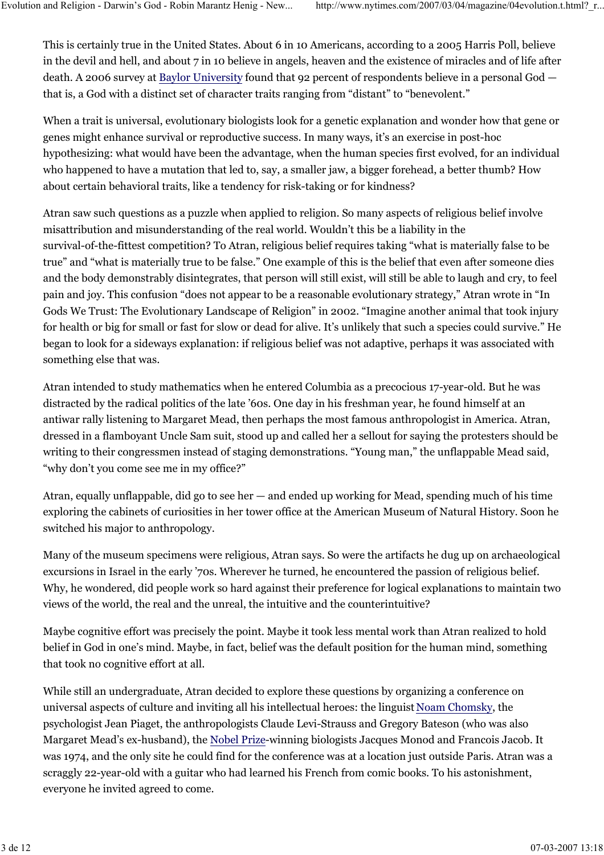This is certainly true in the United States. About 6 in 10 Americans, according to a 2005 Harris Poll, believe in the devil and hell, and about 7 in 10 believe in angels, heaven and the existence of miracles and of life after death. A 2006 survey at Baylor University found that 92 percent of respondents believe in a personal God that is, a God with a distinct set of character traits ranging from "distant" to "benevolent."

When a trait is universal, evolutionary biologists look for a genetic explanation and wonder how that gene or genes might enhance survival or reproductive success. In many ways, it's an exercise in post-hoc hypothesizing: what would have been the advantage, when the human species first evolved, for an individual who happened to have a mutation that led to, say, a smaller jaw, a bigger forehead, a better thumb? How about certain behavioral traits, like a tendency for risk-taking or for kindness?

Atran saw such questions as a puzzle when applied to religion. So many aspects of religious belief involve misattribution and misunderstanding of the real world. Wouldn't this be a liability in the survival-of-the-fittest competition? To Atran, religious belief requires taking "what is materially false to be true" and "what is materially true to be false." One example of this is the belief that even after someone dies and the body demonstrably disintegrates, that person will still exist, will still be able to laugh and cry, to feel pain and joy. This confusion "does not appear to be a reasonable evolutionary strategy," Atran wrote in "In Gods We Trust: The Evolutionary Landscape of Religion" in 2002. "Imagine another animal that took injury for health or big for small or fast for slow or dead for alive. It's unlikely that such a species could survive." He began to look for a sideways explanation: if religious belief was not adaptive, perhaps it was associated with something else that was.

Atran intended to study mathematics when he entered Columbia as a precocious 17-year-old. But he was distracted by the radical politics of the late '60s. One day in his freshman year, he found himself at an antiwar rally listening to Margaret Mead, then perhaps the most famous anthropologist in America. Atran, dressed in a flamboyant Uncle Sam suit, stood up and called her a sellout for saying the protesters should be writing to their congressmen instead of staging demonstrations. "Young man," the unflappable Mead said, "why don't you come see me in my office?"

Atran, equally unflappable, did go to see her — and ended up working for Mead, spending much of his time exploring the cabinets of curiosities in her tower office at the American Museum of Natural History. Soon he switched his major to anthropology.

Many of the museum specimens were religious, Atran says. So were the artifacts he dug up on archaeological excursions in Israel in the early '70s. Wherever he turned, he encountered the passion of religious belief. Why, he wondered, did people work so hard against their preference for logical explanations to maintain two views of the world, the real and the unreal, the intuitive and the counterintuitive?

Maybe cognitive effort was precisely the point. Maybe it took less mental work than Atran realized to hold belief in God in one's mind. Maybe, in fact, belief was the default position for the human mind, something that took no cognitive effort at all.

While still an undergraduate, Atran decided to explore these questions by organizing a conference on universal aspects of culture and inviting all his intellectual heroes: the linguist Noam Chomsky, the psychologist Jean Piaget, the anthropologists Claude Levi-Strauss and Gregory Bateson (who was also Margaret Mead's ex-husband), the Nobel Prize-winning biologists Jacques Monod and Francois Jacob. It was 1974, and the only site he could find for the conference was at a location just outside Paris. Atran was a scraggly 22-year-old with a guitar who had learned his French from comic books. To his astonishment, everyone he invited agreed to come.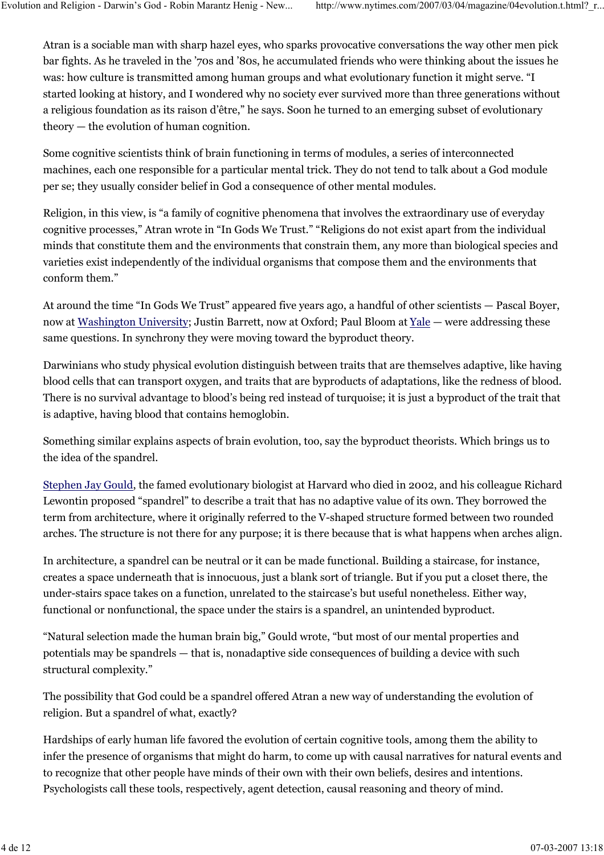Atran is a sociable man with sharp hazel eyes, who sparks provocative conversations the way other men pick bar fights. As he traveled in the '70s and '80s, he accumulated friends who were thinking about the issues he was: how culture is transmitted among human groups and what evolutionary function it might serve. "I started looking at history, and I wondered why no society ever survived more than three generations without a religious foundation as its raison d'être," he says. Soon he turned to an emerging subset of evolutionary theory — the evolution of human cognition.

Some cognitive scientists think of brain functioning in terms of modules, a series of interconnected machines, each one responsible for a particular mental trick. They do not tend to talk about a God module per se; they usually consider belief in God a consequence of other mental modules.

Religion, in this view, is "a family of cognitive phenomena that involves the extraordinary use of everyday cognitive processes," Atran wrote in "In Gods We Trust." "Religions do not exist apart from the individual minds that constitute them and the environments that constrain them, any more than biological species and varieties exist independently of the individual organisms that compose them and the environments that conform them."

At around the time "In Gods We Trust" appeared five years ago, a handful of other scientists — Pascal Boyer, now at Washington University; Justin Barrett, now at Oxford; Paul Bloom at Yale — were addressing these same questions. In synchrony they were moving toward the byproduct theory.

Darwinians who study physical evolution distinguish between traits that are themselves adaptive, like having blood cells that can transport oxygen, and traits that are byproducts of adaptations, like the redness of blood. There is no survival advantage to blood's being red instead of turquoise; it is just a byproduct of the trait that is adaptive, having blood that contains hemoglobin.

Something similar explains aspects of brain evolution, too, say the byproduct theorists. Which brings us to the idea of the spandrel.

Stephen Jay Gould, the famed evolutionary biologist at Harvard who died in 2002, and his colleague Richard Lewontin proposed "spandrel" to describe a trait that has no adaptive value of its own. They borrowed the term from architecture, where it originally referred to the V-shaped structure formed between two rounded arches. The structure is not there for any purpose; it is there because that is what happens when arches align.

In architecture, a spandrel can be neutral or it can be made functional. Building a staircase, for instance, creates a space underneath that is innocuous, just a blank sort of triangle. But if you put a closet there, the under-stairs space takes on a function, unrelated to the staircase's but useful nonetheless. Either way, functional or nonfunctional, the space under the stairs is a spandrel, an unintended byproduct.

"Natural selection made the human brain big," Gould wrote, "but most of our mental properties and potentials may be spandrels — that is, nonadaptive side consequences of building a device with such structural complexity."

The possibility that God could be a spandrel offered Atran a new way of understanding the evolution of religion. But a spandrel of what, exactly?

Hardships of early human life favored the evolution of certain cognitive tools, among them the ability to infer the presence of organisms that might do harm, to come up with causal narratives for natural events and to recognize that other people have minds of their own with their own beliefs, desires and intentions. Psychologists call these tools, respectively, agent detection, causal reasoning and theory of mind.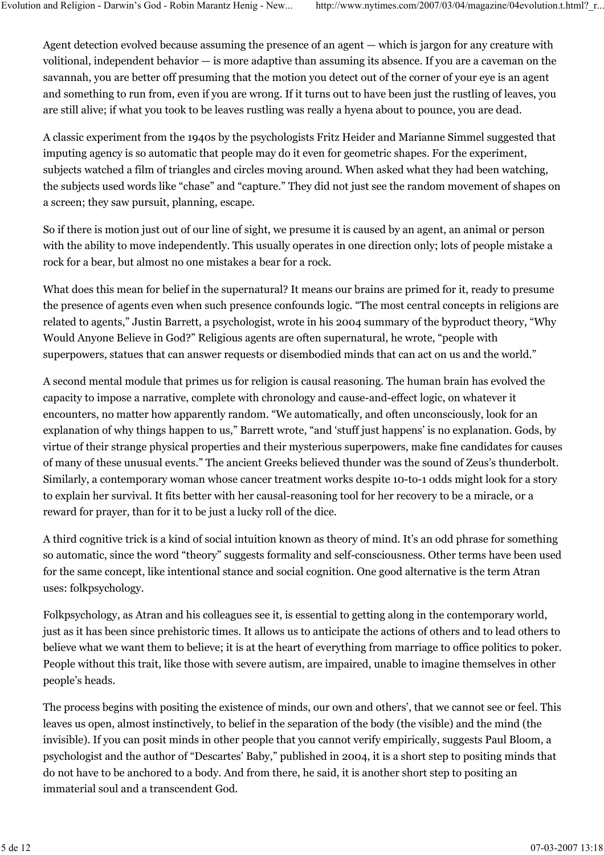Agent detection evolved because assuming the presence of an agent — which is jargon for any creature with volitional, independent behavior — is more adaptive than assuming its absence. If you are a caveman on the savannah, you are better off presuming that the motion you detect out of the corner of your eye is an agent and something to run from, even if you are wrong. If it turns out to have been just the rustling of leaves, you are still alive; if what you took to be leaves rustling was really a hyena about to pounce, you are dead.

A classic experiment from the 1940s by the psychologists Fritz Heider and Marianne Simmel suggested that imputing agency is so automatic that people may do it even for geometric shapes. For the experiment, subjects watched a film of triangles and circles moving around. When asked what they had been watching, the subjects used words like "chase" and "capture." They did not just see the random movement of shapes on a screen; they saw pursuit, planning, escape.

So if there is motion just out of our line of sight, we presume it is caused by an agent, an animal or person with the ability to move independently. This usually operates in one direction only; lots of people mistake a rock for a bear, but almost no one mistakes a bear for a rock.

What does this mean for belief in the supernatural? It means our brains are primed for it, ready to presume the presence of agents even when such presence confounds logic. "The most central concepts in religions are related to agents," Justin Barrett, a psychologist, wrote in his 2004 summary of the byproduct theory, "Why Would Anyone Believe in God?" Religious agents are often supernatural, he wrote, "people with superpowers, statues that can answer requests or disembodied minds that can act on us and the world."

A second mental module that primes us for religion is causal reasoning. The human brain has evolved the capacity to impose a narrative, complete with chronology and cause-and-effect logic, on whatever it encounters, no matter how apparently random. "We automatically, and often unconsciously, look for an explanation of why things happen to us," Barrett wrote, "and 'stuff just happens' is no explanation. Gods, by virtue of their strange physical properties and their mysterious superpowers, make fine candidates for causes of many of these unusual events." The ancient Greeks believed thunder was the sound of Zeus's thunderbolt. Similarly, a contemporary woman whose cancer treatment works despite 10-to-1 odds might look for a story to explain her survival. It fits better with her causal-reasoning tool for her recovery to be a miracle, or a reward for prayer, than for it to be just a lucky roll of the dice.

A third cognitive trick is a kind of social intuition known as theory of mind. It's an odd phrase for something so automatic, since the word "theory" suggests formality and self-consciousness. Other terms have been used for the same concept, like intentional stance and social cognition. One good alternative is the term Atran uses: folkpsychology.

Folkpsychology, as Atran and his colleagues see it, is essential to getting along in the contemporary world, just as it has been since prehistoric times. It allows us to anticipate the actions of others and to lead others to believe what we want them to believe; it is at the heart of everything from marriage to office politics to poker. People without this trait, like those with severe autism, are impaired, unable to imagine themselves in other people's heads.

The process begins with positing the existence of minds, our own and others', that we cannot see or feel. This leaves us open, almost instinctively, to belief in the separation of the body (the visible) and the mind (the invisible). If you can posit minds in other people that you cannot verify empirically, suggests Paul Bloom, a psychologist and the author of "Descartes' Baby," published in 2004, it is a short step to positing minds that do not have to be anchored to a body. And from there, he said, it is another short step to positing an immaterial soul and a transcendent God.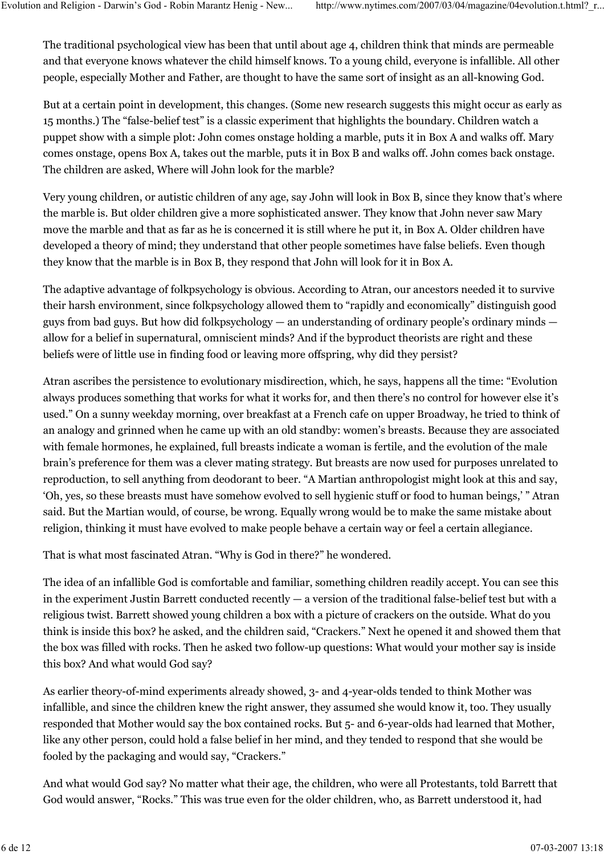The traditional psychological view has been that until about age 4, children think that minds are permeable and that everyone knows whatever the child himself knows. To a young child, everyone is infallible. All other people, especially Mother and Father, are thought to have the same sort of insight as an all-knowing God.

But at a certain point in development, this changes. (Some new research suggests this might occur as early as 15 months.) The "false-belief test" is a classic experiment that highlights the boundary. Children watch a puppet show with a simple plot: John comes onstage holding a marble, puts it in Box A and walks off. Mary comes onstage, opens Box A, takes out the marble, puts it in Box B and walks off. John comes back onstage. The children are asked, Where will John look for the marble?

Very young children, or autistic children of any age, say John will look in Box B, since they know that's where the marble is. But older children give a more sophisticated answer. They know that John never saw Mary move the marble and that as far as he is concerned it is still where he put it, in Box A. Older children have developed a theory of mind; they understand that other people sometimes have false beliefs. Even though they know that the marble is in Box B, they respond that John will look for it in Box A.

The adaptive advantage of folkpsychology is obvious. According to Atran, our ancestors needed it to survive their harsh environment, since folkpsychology allowed them to "rapidly and economically" distinguish good guys from bad guys. But how did folkpsychology — an understanding of ordinary people's ordinary minds allow for a belief in supernatural, omniscient minds? And if the byproduct theorists are right and these beliefs were of little use in finding food or leaving more offspring, why did they persist?

Atran ascribes the persistence to evolutionary misdirection, which, he says, happens all the time: "Evolution always produces something that works for what it works for, and then there's no control for however else it's used." On a sunny weekday morning, over breakfast at a French cafe on upper Broadway, he tried to think of an analogy and grinned when he came up with an old standby: women's breasts. Because they are associated with female hormones, he explained, full breasts indicate a woman is fertile, and the evolution of the male brain's preference for them was a clever mating strategy. But breasts are now used for purposes unrelated to reproduction, to sell anything from deodorant to beer. "A Martian anthropologist might look at this and say, 'Oh, yes, so these breasts must have somehow evolved to sell hygienic stuff or food to human beings,' " Atran said. But the Martian would, of course, be wrong. Equally wrong would be to make the same mistake about religion, thinking it must have evolved to make people behave a certain way or feel a certain allegiance.

That is what most fascinated Atran. "Why is God in there?" he wondered.

The idea of an infallible God is comfortable and familiar, something children readily accept. You can see this in the experiment Justin Barrett conducted recently — a version of the traditional false-belief test but with a religious twist. Barrett showed young children a box with a picture of crackers on the outside. What do you think is inside this box? he asked, and the children said, "Crackers." Next he opened it and showed them that the box was filled with rocks. Then he asked two follow-up questions: What would your mother say is inside this box? And what would God say?

As earlier theory-of-mind experiments already showed, 3- and 4-year-olds tended to think Mother was infallible, and since the children knew the right answer, they assumed she would know it, too. They usually responded that Mother would say the box contained rocks. But 5- and 6-year-olds had learned that Mother, like any other person, could hold a false belief in her mind, and they tended to respond that she would be fooled by the packaging and would say, "Crackers."

And what would God say? No matter what their age, the children, who were all Protestants, told Barrett that God would answer, "Rocks." This was true even for the older children, who, as Barrett understood it, had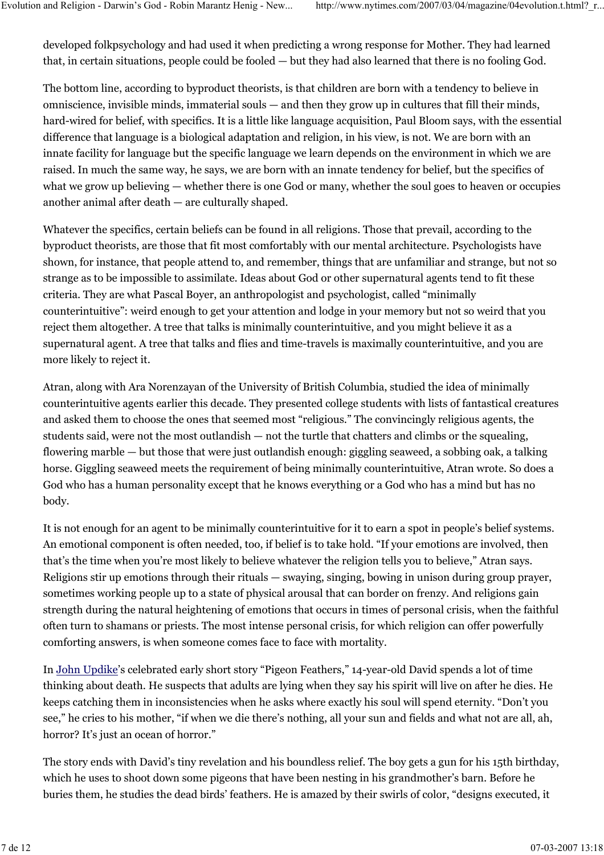developed folkpsychology and had used it when predicting a wrong response for Mother. They had learned that, in certain situations, people could be fooled — but they had also learned that there is no fooling God.

The bottom line, according to byproduct theorists, is that children are born with a tendency to believe in omniscience, invisible minds, immaterial souls — and then they grow up in cultures that fill their minds, hard-wired for belief, with specifics. It is a little like language acquisition, Paul Bloom says, with the essential difference that language is a biological adaptation and religion, in his view, is not. We are born with an innate facility for language but the specific language we learn depends on the environment in which we are raised. In much the same way, he says, we are born with an innate tendency for belief, but the specifics of what we grow up believing — whether there is one God or many, whether the soul goes to heaven or occupies another animal after death — are culturally shaped.

Whatever the specifics, certain beliefs can be found in all religions. Those that prevail, according to the byproduct theorists, are those that fit most comfortably with our mental architecture. Psychologists have shown, for instance, that people attend to, and remember, things that are unfamiliar and strange, but not so strange as to be impossible to assimilate. Ideas about God or other supernatural agents tend to fit these criteria. They are what Pascal Boyer, an anthropologist and psychologist, called "minimally counterintuitive": weird enough to get your attention and lodge in your memory but not so weird that you reject them altogether. A tree that talks is minimally counterintuitive, and you might believe it as a supernatural agent. A tree that talks and flies and time-travels is maximally counterintuitive, and you are more likely to reject it.

Atran, along with Ara Norenzayan of the University of British Columbia, studied the idea of minimally counterintuitive agents earlier this decade. They presented college students with lists of fantastical creatures and asked them to choose the ones that seemed most "religious." The convincingly religious agents, the students said, were not the most outlandish — not the turtle that chatters and climbs or the squealing, flowering marble — but those that were just outlandish enough: giggling seaweed, a sobbing oak, a talking horse. Giggling seaweed meets the requirement of being minimally counterintuitive, Atran wrote. So does a God who has a human personality except that he knows everything or a God who has a mind but has no body.

It is not enough for an agent to be minimally counterintuitive for it to earn a spot in people's belief systems. An emotional component is often needed, too, if belief is to take hold. "If your emotions are involved, then that's the time when you're most likely to believe whatever the religion tells you to believe," Atran says. Religions stir up emotions through their rituals — swaying, singing, bowing in unison during group prayer, sometimes working people up to a state of physical arousal that can border on frenzy. And religions gain strength during the natural heightening of emotions that occurs in times of personal crisis, when the faithful often turn to shamans or priests. The most intense personal crisis, for which religion can offer powerfully comforting answers, is when someone comes face to face with mortality.

In John Updike's celebrated early short story "Pigeon Feathers," 14-year-old David spends a lot of time thinking about death. He suspects that adults are lying when they say his spirit will live on after he dies. He keeps catching them in inconsistencies when he asks where exactly his soul will spend eternity. "Don't you see," he cries to his mother, "if when we die there's nothing, all your sun and fields and what not are all, ah, horror? It's just an ocean of horror."

The story ends with David's tiny revelation and his boundless relief. The boy gets a gun for his 15th birthday, which he uses to shoot down some pigeons that have been nesting in his grandmother's barn. Before he buries them, he studies the dead birds' feathers. He is amazed by their swirls of color, "designs executed, it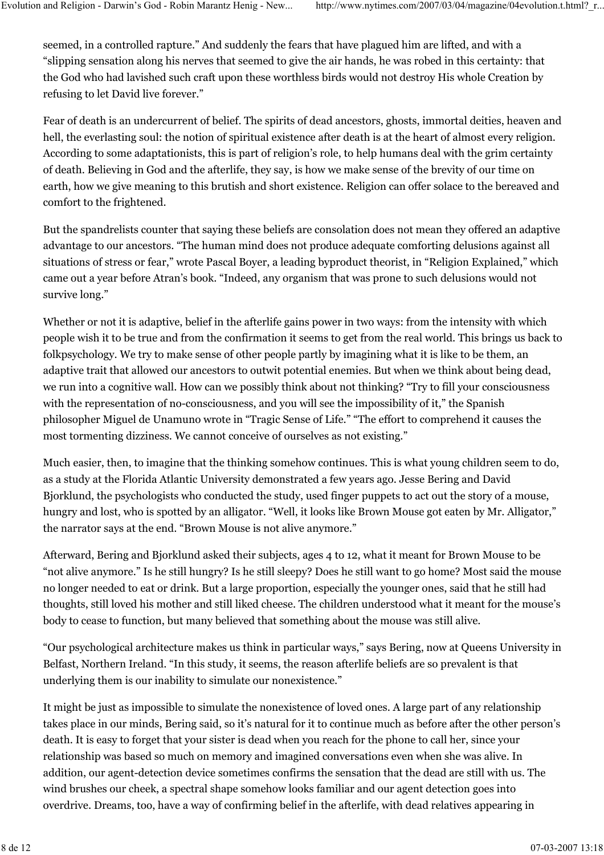seemed, in a controlled rapture." And suddenly the fears that have plagued him are lifted, and with a "slipping sensation along his nerves that seemed to give the air hands, he was robed in this certainty: that the God who had lavished such craft upon these worthless birds would not destroy His whole Creation by refusing to let David live forever."

Fear of death is an undercurrent of belief. The spirits of dead ancestors, ghosts, immortal deities, heaven and hell, the everlasting soul: the notion of spiritual existence after death is at the heart of almost every religion. According to some adaptationists, this is part of religion's role, to help humans deal with the grim certainty of death. Believing in God and the afterlife, they say, is how we make sense of the brevity of our time on earth, how we give meaning to this brutish and short existence. Religion can offer solace to the bereaved and comfort to the frightened.

But the spandrelists counter that saying these beliefs are consolation does not mean they offered an adaptive advantage to our ancestors. "The human mind does not produce adequate comforting delusions against all situations of stress or fear," wrote Pascal Boyer, a leading byproduct theorist, in "Religion Explained," which came out a year before Atran's book. "Indeed, any organism that was prone to such delusions would not survive long."

Whether or not it is adaptive, belief in the afterlife gains power in two ways: from the intensity with which people wish it to be true and from the confirmation it seems to get from the real world. This brings us back to folkpsychology. We try to make sense of other people partly by imagining what it is like to be them, an adaptive trait that allowed our ancestors to outwit potential enemies. But when we think about being dead, we run into a cognitive wall. How can we possibly think about not thinking? "Try to fill your consciousness with the representation of no-consciousness, and you will see the impossibility of it," the Spanish philosopher Miguel de Unamuno wrote in "Tragic Sense of Life." "The effort to comprehend it causes the most tormenting dizziness. We cannot conceive of ourselves as not existing."

Much easier, then, to imagine that the thinking somehow continues. This is what young children seem to do, as a study at the Florida Atlantic University demonstrated a few years ago. Jesse Bering and David Bjorklund, the psychologists who conducted the study, used finger puppets to act out the story of a mouse, hungry and lost, who is spotted by an alligator. "Well, it looks like Brown Mouse got eaten by Mr. Alligator," the narrator says at the end. "Brown Mouse is not alive anymore."

Afterward, Bering and Bjorklund asked their subjects, ages 4 to 12, what it meant for Brown Mouse to be "not alive anymore." Is he still hungry? Is he still sleepy? Does he still want to go home? Most said the mouse no longer needed to eat or drink. But a large proportion, especially the younger ones, said that he still had thoughts, still loved his mother and still liked cheese. The children understood what it meant for the mouse's body to cease to function, but many believed that something about the mouse was still alive.

"Our psychological architecture makes us think in particular ways," says Bering, now at Queens University in Belfast, Northern Ireland. "In this study, it seems, the reason afterlife beliefs are so prevalent is that underlying them is our inability to simulate our nonexistence."

It might be just as impossible to simulate the nonexistence of loved ones. A large part of any relationship takes place in our minds, Bering said, so it's natural for it to continue much as before after the other person's death. It is easy to forget that your sister is dead when you reach for the phone to call her, since your relationship was based so much on memory and imagined conversations even when she was alive. In addition, our agent-detection device sometimes confirms the sensation that the dead are still with us. The wind brushes our cheek, a spectral shape somehow looks familiar and our agent detection goes into overdrive. Dreams, too, have a way of confirming belief in the afterlife, with dead relatives appearing in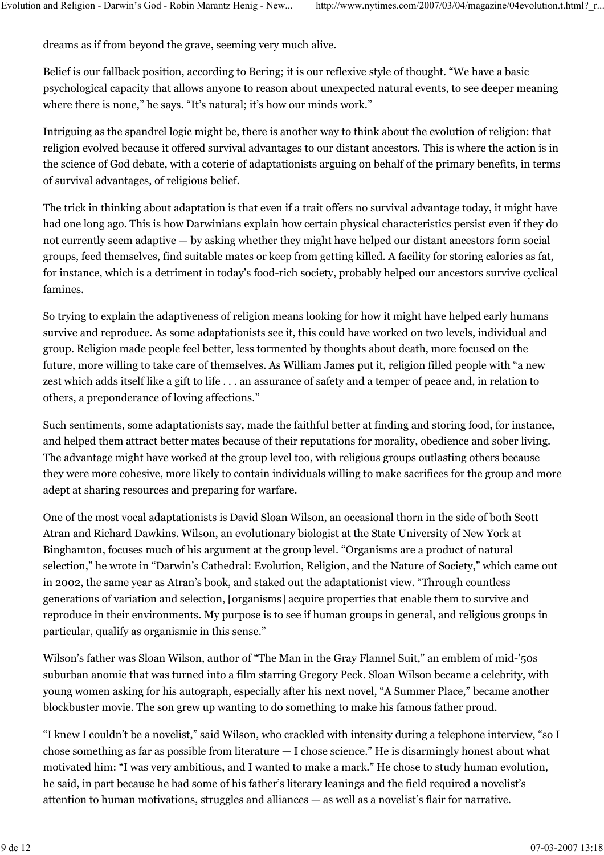dreams as if from beyond the grave, seeming very much alive.

Belief is our fallback position, according to Bering; it is our reflexive style of thought. "We have a basic psychological capacity that allows anyone to reason about unexpected natural events, to see deeper meaning where there is none," he says. "It's natural; it's how our minds work."

Intriguing as the spandrel logic might be, there is another way to think about the evolution of religion: that religion evolved because it offered survival advantages to our distant ancestors. This is where the action is in the science of God debate, with a coterie of adaptationists arguing on behalf of the primary benefits, in terms of survival advantages, of religious belief.

The trick in thinking about adaptation is that even if a trait offers no survival advantage today, it might have had one long ago. This is how Darwinians explain how certain physical characteristics persist even if they do not currently seem adaptive — by asking whether they might have helped our distant ancestors form social groups, feed themselves, find suitable mates or keep from getting killed. A facility for storing calories as fat, for instance, which is a detriment in today's food-rich society, probably helped our ancestors survive cyclical famines.

So trying to explain the adaptiveness of religion means looking for how it might have helped early humans survive and reproduce. As some adaptationists see it, this could have worked on two levels, individual and group. Religion made people feel better, less tormented by thoughts about death, more focused on the future, more willing to take care of themselves. As William James put it, religion filled people with "a new zest which adds itself like a gift to life . . . an assurance of safety and a temper of peace and, in relation to others, a preponderance of loving affections."

Such sentiments, some adaptationists say, made the faithful better at finding and storing food, for instance, and helped them attract better mates because of their reputations for morality, obedience and sober living. The advantage might have worked at the group level too, with religious groups outlasting others because they were more cohesive, more likely to contain individuals willing to make sacrifices for the group and more adept at sharing resources and preparing for warfare.

One of the most vocal adaptationists is David Sloan Wilson, an occasional thorn in the side of both Scott Atran and Richard Dawkins. Wilson, an evolutionary biologist at the State University of New York at Binghamton, focuses much of his argument at the group level. "Organisms are a product of natural selection," he wrote in "Darwin's Cathedral: Evolution, Religion, and the Nature of Society," which came out in 2002, the same year as Atran's book, and staked out the adaptationist view. "Through countless generations of variation and selection, [organisms] acquire properties that enable them to survive and reproduce in their environments. My purpose is to see if human groups in general, and religious groups in particular, qualify as organismic in this sense."

Wilson's father was Sloan Wilson, author of "The Man in the Gray Flannel Suit," an emblem of mid-'50s suburban anomie that was turned into a film starring Gregory Peck. Sloan Wilson became a celebrity, with young women asking for his autograph, especially after his next novel, "A Summer Place," became another blockbuster movie. The son grew up wanting to do something to make his famous father proud.

"I knew I couldn't be a novelist," said Wilson, who crackled with intensity during a telephone interview, "so I chose something as far as possible from literature — I chose science." He is disarmingly honest about what motivated him: "I was very ambitious, and I wanted to make a mark." He chose to study human evolution, he said, in part because he had some of his father's literary leanings and the field required a novelist's attention to human motivations, struggles and alliances — as well as a novelist's flair for narrative.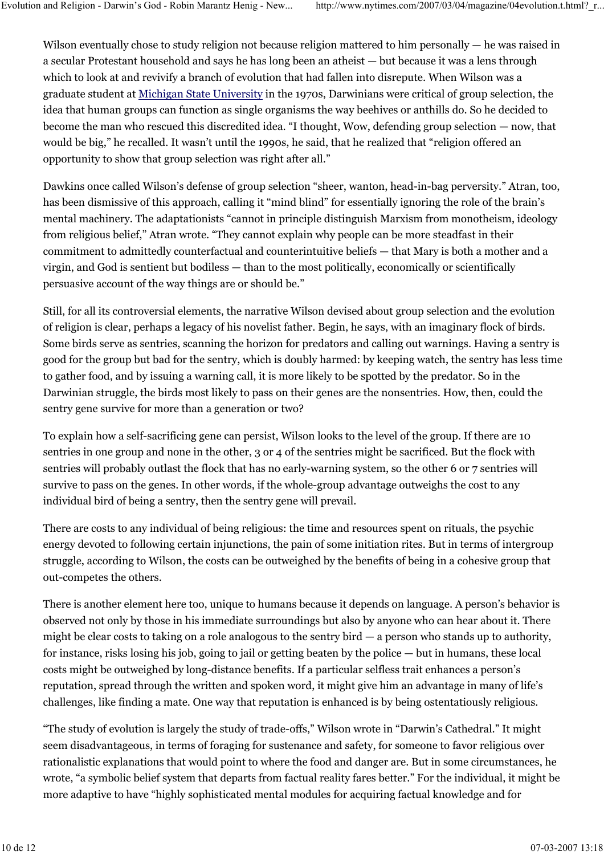Wilson eventually chose to study religion not because religion mattered to him personally — he was raised in a secular Protestant household and says he has long been an atheist — but because it was a lens through which to look at and revivify a branch of evolution that had fallen into disrepute. When Wilson was a graduate student at Michigan State University in the 1970s, Darwinians were critical of group selection, the idea that human groups can function as single organisms the way beehives or anthills do. So he decided to become the man who rescued this discredited idea. "I thought, Wow, defending group selection — now, that would be big," he recalled. It wasn't until the 1990s, he said, that he realized that "religion offered an opportunity to show that group selection was right after all."

Dawkins once called Wilson's defense of group selection "sheer, wanton, head-in-bag perversity." Atran, too, has been dismissive of this approach, calling it "mind blind" for essentially ignoring the role of the brain's mental machinery. The adaptationists "cannot in principle distinguish Marxism from monotheism, ideology from religious belief," Atran wrote. "They cannot explain why people can be more steadfast in their commitment to admittedly counterfactual and counterintuitive beliefs — that Mary is both a mother and a virgin, and God is sentient but bodiless — than to the most politically, economically or scientifically persuasive account of the way things are or should be."

Still, for all its controversial elements, the narrative Wilson devised about group selection and the evolution of religion is clear, perhaps a legacy of his novelist father. Begin, he says, with an imaginary flock of birds. Some birds serve as sentries, scanning the horizon for predators and calling out warnings. Having a sentry is good for the group but bad for the sentry, which is doubly harmed: by keeping watch, the sentry has less time to gather food, and by issuing a warning call, it is more likely to be spotted by the predator. So in the Darwinian struggle, the birds most likely to pass on their genes are the nonsentries. How, then, could the sentry gene survive for more than a generation or two?

To explain how a self-sacrificing gene can persist, Wilson looks to the level of the group. If there are 10 sentries in one group and none in the other, 3 or 4 of the sentries might be sacrificed. But the flock with sentries will probably outlast the flock that has no early-warning system, so the other 6 or 7 sentries will survive to pass on the genes. In other words, if the whole-group advantage outweighs the cost to any individual bird of being a sentry, then the sentry gene will prevail.

There are costs to any individual of being religious: the time and resources spent on rituals, the psychic energy devoted to following certain injunctions, the pain of some initiation rites. But in terms of intergroup struggle, according to Wilson, the costs can be outweighed by the benefits of being in a cohesive group that out-competes the others.

There is another element here too, unique to humans because it depends on language. A person's behavior is observed not only by those in his immediate surroundings but also by anyone who can hear about it. There might be clear costs to taking on a role analogous to the sentry bird — a person who stands up to authority, for instance, risks losing his job, going to jail or getting beaten by the police — but in humans, these local costs might be outweighed by long-distance benefits. If a particular selfless trait enhances a person's reputation, spread through the written and spoken word, it might give him an advantage in many of life's challenges, like finding a mate. One way that reputation is enhanced is by being ostentatiously religious.

"The study of evolution is largely the study of trade-offs," Wilson wrote in "Darwin's Cathedral." It might seem disadvantageous, in terms of foraging for sustenance and safety, for someone to favor religious over rationalistic explanations that would point to where the food and danger are. But in some circumstances, he wrote, "a symbolic belief system that departs from factual reality fares better." For the individual, it might be more adaptive to have "highly sophisticated mental modules for acquiring factual knowledge and for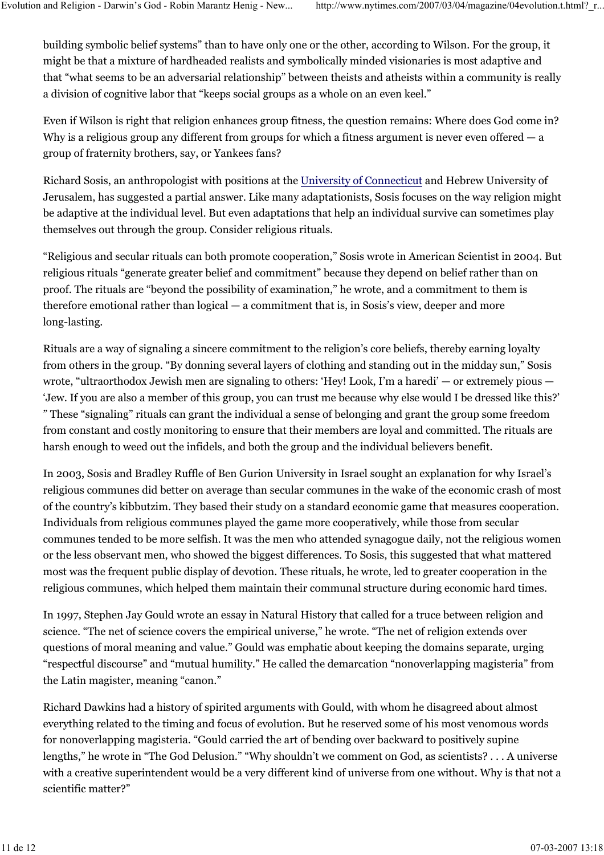building symbolic belief systems" than to have only one or the other, according to Wilson. For the group, it might be that a mixture of hardheaded realists and symbolically minded visionaries is most adaptive and that "what seems to be an adversarial relationship" between theists and atheists within a community is really a division of cognitive labor that "keeps social groups as a whole on an even keel."

Even if Wilson is right that religion enhances group fitness, the question remains: Where does God come in? Why is a religious group any different from groups for which a fitness argument is never even offered  $-$  a group of fraternity brothers, say, or Yankees fans?

Richard Sosis, an anthropologist with positions at the University of Connecticut and Hebrew University of Jerusalem, has suggested a partial answer. Like many adaptationists, Sosis focuses on the way religion might be adaptive at the individual level. But even adaptations that help an individual survive can sometimes play themselves out through the group. Consider religious rituals.

"Religious and secular rituals can both promote cooperation," Sosis wrote in American Scientist in 2004. But religious rituals "generate greater belief and commitment" because they depend on belief rather than on proof. The rituals are "beyond the possibility of examination," he wrote, and a commitment to them is therefore emotional rather than logical — a commitment that is, in Sosis's view, deeper and more long-lasting.

Rituals are a way of signaling a sincere commitment to the religion's core beliefs, thereby earning loyalty from others in the group. "By donning several layers of clothing and standing out in the midday sun," Sosis wrote, "ultraorthodox Jewish men are signaling to others: 'Hey! Look, I'm a haredi' — or extremely pious — 'Jew. If you are also a member of this group, you can trust me because why else would I be dressed like this?' " These "signaling" rituals can grant the individual a sense of belonging and grant the group some freedom from constant and costly monitoring to ensure that their members are loyal and committed. The rituals are harsh enough to weed out the infidels, and both the group and the individual believers benefit.

In 2003, Sosis and Bradley Ruffle of Ben Gurion University in Israel sought an explanation for why Israel's religious communes did better on average than secular communes in the wake of the economic crash of most of the country's kibbutzim. They based their study on a standard economic game that measures cooperation. Individuals from religious communes played the game more cooperatively, while those from secular communes tended to be more selfish. It was the men who attended synagogue daily, not the religious women or the less observant men, who showed the biggest differences. To Sosis, this suggested that what mattered most was the frequent public display of devotion. These rituals, he wrote, led to greater cooperation in the religious communes, which helped them maintain their communal structure during economic hard times.

In 1997, Stephen Jay Gould wrote an essay in Natural History that called for a truce between religion and science. "The net of science covers the empirical universe," he wrote. "The net of religion extends over questions of moral meaning and value." Gould was emphatic about keeping the domains separate, urging "respectful discourse" and "mutual humility." He called the demarcation "nonoverlapping magisteria" from the Latin magister, meaning "canon."

Richard Dawkins had a history of spirited arguments with Gould, with whom he disagreed about almost everything related to the timing and focus of evolution. But he reserved some of his most venomous words for nonoverlapping magisteria. "Gould carried the art of bending over backward to positively supine lengths," he wrote in "The God Delusion." "Why shouldn't we comment on God, as scientists? . . . A universe with a creative superintendent would be a very different kind of universe from one without. Why is that not a scientific matter?"